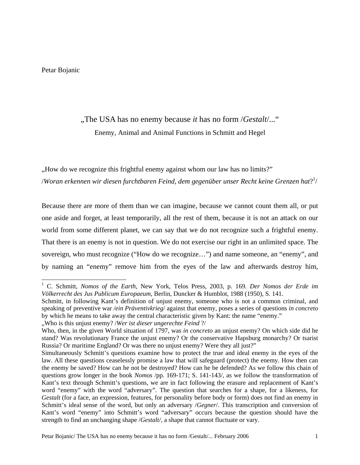### Petar Bojanic

# "The USA has no enemy because *it* has no form /*Gestalt*/..."

Enemy, Animal and Animal Functions in Schmitt and Hegel

"How do we recognize this frightful enemy against whom our law has no limits?"

/*Woran erkennen wir diesen furchtbaren Feind, dem gegenüber unser Recht keine Grenzen hat*? [1](#page-0-0) /

Because there are more of them than we can imagine, because we cannot count them all, or put one aside and forget, at least temporarily, all the rest of them, because it is not an attack on our world from some different planet, we can say that we do not recognize such a frightful enemy. That there is an enemy is not in question. We do not exercise our right in an unlimited space. The sovereign, who must recognize ("How do we recognize…") and name someone, an "enemy", and by naming an "enemy" remove him from the eyes of the law and afterwards destroy him,

<span id="page-0-0"></span> <sup>1</sup> C. Schmitt, *Nomos of the Earth*, New York, Telos Press, 2003, p. 169. *Der Nomos der Erde im Völkerrecht des Jus Publicum Europaeum*, Berlin, Duncker & Humblot, 1988 (1950), S. 141.

Schmitt, in following Kant's definition of unjust enemy, someone who is not a common criminal, and speaking of preventive war */ein Präventivkrieg*/ against that enemy, poses a series of questions *in concreto*  by which he means to take away the central characteristic given by Kant: the name "enemy."

<sup>&</sup>quot;Who is this unjust enemy? /*Wer ist dieser ungerechte Feind* ?/

Who, then, in the given World situation of 1797, was *in concreto* an unjust enemy? On which side did he stand? Was revolutionary France the unjust enemy? Or the conservative Hapsburg monarchy? Or tsarist Russia? Or maritime England? Or was there no unjust enemy? Were they all just?"

Simultaneously Schmitt's questions examine how to protect the true and ideal enemy in the eyes of the law. All these questions ceaselessly promise a law that will safeguard (protect) the enemy. How then can the enemy be saved? How can he not be destroyed? How can he be defended? As we follow this chain of questions grow longer in the book *Nomos* /pp. 169-171; S. 141-143/*,* as we follow the transformation of Kant's text through Schmitt's questions, we are in fact following the erasure and replacement of Kant's word "enemy" with the word "adversary". The question that searches for a shape, for a likeness, for *Gestalt* (for a face, an expression, features, for personality before body or form) does not find an enemy in Schmitt's ideal sense of the word, but only an adversary /*Gegner*/. This transcription and conversion of Kant's word "enemy" into Schmitt's word "adversary" occurs because the question should have the strength to find an unchanging shape /*Gestalt/,* a shape that cannot fluctuate or vary.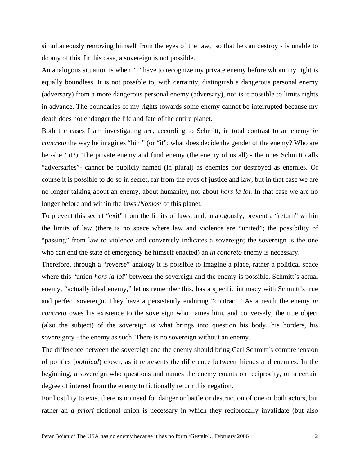simultaneously removing himself from the eyes of the law, so that he can destroy - is unable to do any of this. In this case, a sovereign is not possible.

An analogous situation is when "I" have to recognize my private enemy before whom my right is equally boundless. It is not possible to, with certainty, distinguish a dangerous personal enemy (adversary) from a more dangerous personal enemy (adversary), nor is it possible to limits rights in advance. The boundaries of my rights towards some enemy cannot be interrupted because my death does not endanger the life and fate of the entire planet.

Both the cases I am investigating are, according to Schmitt, in total contrast to an enemy *in concreto* the way he imagines "him" (or "it"; what does decide the gender of the enemy? Who are he /she / it?). The private enemy and final enemy (the enemy of us all) - the ones Schmitt calls "adversaries"- cannot be publicly named (in plural) as enemies nor destroyed as enemies. Of course it is possible to do so in secret, far from the eyes of justice and law, but in that case we are no longer talking about an enemy, about humanity, nor about *hors la loi.* In that case we are no longer before and within the laws /*Nomos*/ of this planet.

To prevent this secret "exit" from the limits of laws, and, analogously, prevent a "return" within the limits of law (there is no space where law and violence are "united"; the possibility of "passing" from law to violence and conversely indicates a sovereign; the sovereign is the one who can end the state of emergency he himself enacted) an *in concreto* enemy is necessary.

Therefore, through a "reverse" analogy it is possible to imagine a place, rather a political space where this "union *hors la loi*" between the sovereign and the enemy is possible. Schmitt's actual enemy, "actually ideal enemy," let us remember this, has a specific intimacy with Schmitt's true and perfect sovereign. They have a persistently enduring "contract." As a result the enemy *in concreto* owes his existence to the sovereign who names him, and conversely, the true object (also the subject) of the sovereign is what brings into question his body, his borders, his sovereignty - the enemy as such. There is no sovereign without an enemy.

The difference between the sovereign and the enemy should bring Carl Schmitt's comprehension of politics (*political*) closer, as it represents the difference between friends and enemies. In the beginning, a sovereign who questions and names the enemy counts on reciprocity, on a certain degree of interest from the enemy to fictionally return this negation.

For hostility to exist there is no need for danger or battle or destruction of one or both actors, but rather an *a priori* fictional union is necessary in which they reciprocally invalidate (but also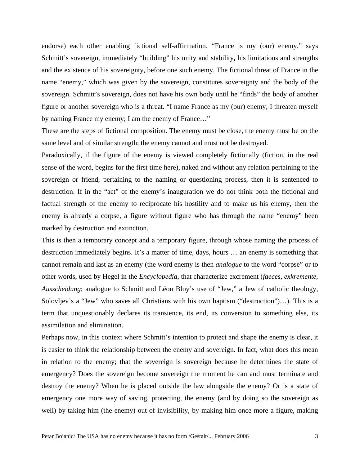endorse) each other enabling fictional self-affirmation. "France is my (our) enemy," says Schmitt's sovereign, immediately "building" his unity and stability**,** his limitations and strengths and the existence of his sovereignty, before one such enemy. The fictional threat of France in the name "enemy," which was given by the sovereign, constitutes sovereignty and the body of the sovereign. Schmitt's sovereign, does not have his own body until he "finds" the body of another figure or another sovereign who is a threat. "I name France as my (our) enemy; I threaten myself by naming France my enemy; I am the enemy of France…"

These are the steps of fictional composition. The enemy must be close, the enemy must be on the same level and of similar strength; the enemy cannot and must not be destroyed.

Paradoxically, if the figure of the enemy is viewed completely fictionally (fiction, in the real sense of the word, begins for the first time here), naked and without any relation pertaining to the sovereign or friend, pertaining to the naming or questioning process, then it is sentenced to destruction. If in the "act" of the enemy's inauguration we do not think both the fictional and factual strength of the enemy to reciprocate his hostility and to make us his enemy, then the enemy is already a corpse, a figure without figure who has through the name "enemy" been marked by destruction and extinction.

This is then a temporary concept and a temporary figure, through whose naming the process of destruction immediately begins. It's a matter of time, days, hours … an enemy is something that cannot remain and last as an enemy (the word enemy is then *analogue* to the word "corpse" or to other words, used by Hegel in the *Encyclopedia,* that characterize excrement (*faeces, exkremente*, *Ausscheidung*; analogue to Schmitt and Léon Bloy's use of "Jew," a Jew of catholic theology, Solovljev's a "Jew" who saves all Christians with his own baptism ("destruction")…). This is a term that unquestionably declares its transience, its end, its conversion to something else, its assimilation and elimination.

Perhaps now, in this context where Schmitt's intention to protect and shape the enemy is clear, it is easier to think the relationship between the enemy and sovereign. In fact, what does this mean in relation to the enemy; that the sovereign is sovereign because he determines the state of emergency? Does the sovereign become sovereign the moment he can and must terminate and destroy the enemy? When he is placed outside the law alongside the enemy? Or is a state of emergency one more way of saving, protecting, the enemy (and by doing so the sovereign as well) by taking him (the enemy) out of invisibility, by making him once more a figure, making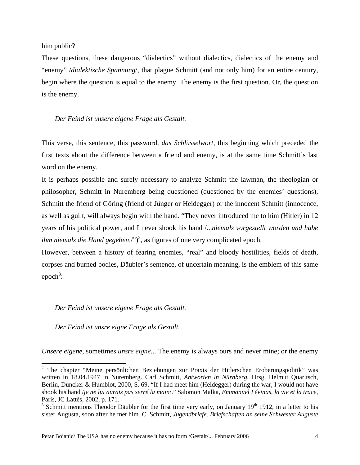#### <span id="page-3-1"></span>him public?

These questions, these dangerous "dialectics" without dialectics, dialectics of the enemy and "enemy" /*dialektische Spannung*/, that plague Schmitt (and not only him) for an entire century, begin where the question is equal to the enemy. The enemy is the first question. Or, the question is the enemy.

### *Der Feind ist unsere eigene Frage als Gestalt.*

This verse, this sentence, this password, *das Schlüsselwort,* this beginning which preceded the first texts about the difference between a friend and enemy, is at the same time Schmitt's last word on the enemy.

It is perhaps possible and surely necessary to analyze Schmitt the lawman, the theologian or philosopher, Schmitt in Nuremberg being questioned (questioned by the enemies' questions), Schmitt the friend of Göring (friend of Jünger or Heidegger) or the innocent Schmitt (innocence, as well as guilt, will always begin with the hand. "They never introduced me to him (Hitler) in 12 years of his political power, and I never shook his hand /...*niemals vorgestellt worden und habe ihm niemals die Hand gegeben.*/" $)^2$ , as figures of one very complicated epoch.

However, between a history of fearing enemies, "real" and bloody hostilities, fields of death, corpses and burned bodies, Däubler's sentence, of uncertain meaning, is the emblem of this same  $epoch<sup>3</sup>$ :

*Der Feind ist unsere eigene Frage als Gestalt.* 

*Der Feind ist unsre eigne Frage als Gestalt.*

*Unsere eigene*, sometimes *unsre eigne*... The enemy is always ours and never mine; or the enemy

<span id="page-3-0"></span><sup>&</sup>lt;sup>2</sup> The chapter "Meine persönlichen Beziehungen zur Praxis der Hitlerschen Eroberungspolitik" was written in 18.04.1947 in Nuremberg. Carl Schmitt, *Antworten in Nürnberg*, Hrsg. Helmut Quaritsch, Berlin, Duncker & Humblot, 2000, S. 69. "If I had meet him (Heidegger) during the war, I would not have shook his hand /*je ne lui aurais pas serré la main*/." Salomon Malka, *Emmanuel Lévinas, la vie et la trace*, Paris, JC Lattès, 2002, p. 171.

<sup>&</sup>lt;sup>3</sup> Schmitt mentions Theodor Däubler for the first time very early, on January 19<sup>th</sup> 1912, in a letter to his sister Augusta, soon after he met him. C. Schmitt, *Jugendbriefe. Briefschaften an seine Schwester Auguste*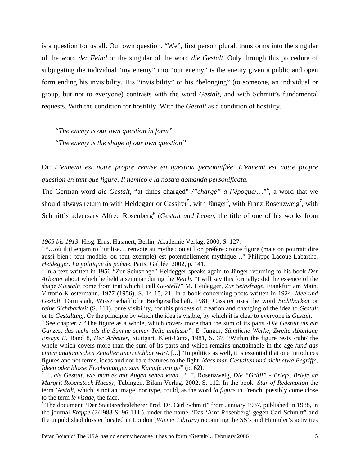<span id="page-4-4"></span>is a question for us all. Our own question. "We", first person plural, transforms into the singular of the word *der Feind* or the singular of the word *die Gestalt*. Only through this procedure of subjugating the individual "my enemy" into "our enemy" is the enemy given a public and open form ending his invisibility. His "invisibility" or his "belonging" (to someone, an individual or group, but not to everyone) contrasts with the word *Gestalt*, and with Schmitt's fundamental requests. With the condition for hostility. With the *Gestalt* as a condition of hostility.

*"The enemy is our own question in form" "The enemy is the shape of our own question"*

-

Or: *L'ennemi est notre propre remise en question personnifiée*. *L'ennemi est notre propre question en tant que figure*. *Il nemico è la nostra domanda personificata.*

The German word *die Gestalt*, "at times charged" /"chargé" à l'époque/..."<sup>[4](#page-4-0)</sup>, a word that we should always return to with Heidegger or Cassirer<sup>5</sup>, with Jünger<sup>[6](#page-4-2)</sup>, with Franz Rosenzweig<sup>[7](#page-4-3)</sup>, with Schmitt's adversary Alfred Rosenberg<sup>8</sup> (*Gestalt und Leben*, the title of one of his works from

*<sup>1905</sup> bis 1913*, Hrsg. Ernst Hüsmert, Berlin, Akademie Verlag, 2000, S. 127.

<span id="page-4-0"></span><sup>&</sup>lt;sup>4</sup> "...où il (Benjamin) l'utilise... renvoie au mythe ; ou si l'on préfère : toute figure (mais on pourrait dire aussi bien : tout modèle, ou tout exemple) est potentiellement mythique…" Philippe Lacoue-Labarthe, *Heidegger. La politique du poème*, Paris, Galilée, 2002, p. 141. <sup>5</sup>

<span id="page-4-1"></span>In a text written in 1956 "Zur Seinsfrage" Heidegger speaks again to Jünger returning to his book *Der Arbeiter* about which he held a seminar during the *Reich*. "I will say this formally: did the essence of the shape /*Gestalt*/ come from that which I call *Ge-stell*?" M. Heidegger, *Zur Seinsfrage*, Frankfurt am Main, Vittorio Klostermann, 1977 (1956), S. 14-15, 21. In a book concerning poets written in 1924, *Idee und Gestalt*, Darmstadt, Wissenschaftliche Buchgesellschaft, 1981, Cassirer uses the word *Sichtbarkeit* or *reine Sichtbarkeit* (S. 111), pure visibility, for this process of creation and changing of the idea to *Gestalt* or to *Gestaltung*. Or the principle by which the idea is visible, by which it is clear to everyone is *Gestalt*. <sup>6</sup>

<span id="page-4-2"></span>See chapter 7 "The figure as a whole, which covers more than the sum of its parts /*Die Gestalt als ein Ganzes, das mehr als die Summe seiner Teile umfasst*/". E. Jünger, *Sämtliche Werke, Zweite Abteilung Essays II*, Band 8, *Der Arbeiter*, Stuttgart, Klett-Cotta, 1981, S. 37. "Within the figure rests /ruht/ the whole which covers more than the sum of its parts and which remains unattainable in the age /*und das einem anatomischen Zeitalter unerreichbar war*/. [...] "In politics as well, it is essential that one introduces figures and not terms, ideas and not bare features to the fight /*dass man Gestalten und nicht etwa Begriffe, Ideen oder blosse Erscheinungen zum Kampfe bringt*/" (p. 62).

<span id="page-4-3"></span><sup>7</sup> "...*als Gestalt, wie man es mit Augen sehen kann*...", F. Rosenzweig, *Die "Gritli" - Briefe, Briefe an Margrit Rosenstock-Huessy*, Tübingen, Bilam Verlag, 2002, S. 112. In the book *Star of Redemption* the term *Gestalt,* which is not an image, nor type, could, as the word *la figure* in French, possibly come close to the term *le visage*, the face.

<sup>&</sup>lt;sup>8</sup> The document "Der Staatsrechtsleherer Prof. Dr. Carl Schmitt" from January 1937, published in 1988, in the journal *Etappe* (2/1988 S. 96-111.), under the name "Das 'Amt Rosenberg' gegen Carl Schmitt" and the unpublished dossier located in London (*Wiener Library*) recounting the SS's and Himmler's activities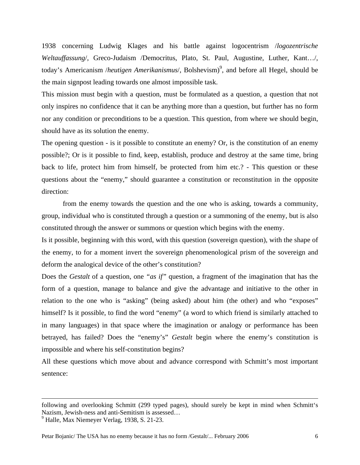1938 concerning Ludwig Klages and his battle against logocentrism /*logozentrische Weltauffassung*/, Greco-Judaism /Democritus, Plato, St. Paul, Augustine, Luther, Kant…/, today's Americanism */heutigen Amerikanismus/*[,](#page-5-0) Bolshevism)<sup>9</sup>, and before all Hegel, should be the main signpost leading towards one almost impossible task.

This mission must begin with a question, must be formulated as a question, a question that not only inspires no confidence that it can be anything more than a question, but further has no form nor any condition or preconditions to be a question. This question, from where we should begin, should have as its solution the enemy.

The opening question - is it possible to constitute an enemy? Or, is the constitution of an enemy possible?; Or is it possible to find, keep, establish, produce and destroy at the same time, bring back to life, protect him from himself, be protected from him etc.? - This question or these questions about the "enemy," should guarantee a constitution or reconstitution in the opposite direction:

from the enemy towards the question and the one who is asking, towards a community, group, individual who is constituted through a question or a summoning of the enemy, but is also constituted through the answer or summons or question which begins with the enemy.

Is it possible, beginning with this word, with this question (sovereign question), with the shape of the enemy, to for a moment invert the sovereign phenomenological prism of the sovereign and deform the analogical device of the other's constitution?

Does the *Gestalt* of a question, one *"as if"* question, a fragment of the imagination that has the form of a question, manage to balance and give the advantage and initiative to the other in relation to the one who is "asking" (being asked) about him (the other) and who "exposes" himself? Is it possible, to find the word "enemy" (a word to which friend is similarly attached to in many languages) in that space where the imagination or analogy or performance has been betrayed, has failed? Does the "enemy's" *Gestalt* begin where the enemy's constitution is impossible and where his self-constitution begins?

All these questions which move about and advance correspond with Schmitt's most important sentence:

1

following and overlooking Schmitt (299 typed pages), should surely be kept in mind when Schmitt's Nazism, Jewish-ness and anti-Semitism is assessed…

<span id="page-5-0"></span><sup>&</sup>lt;sup>9</sup> Halle, Max Niemeyer Verlag, 1938, S. 21-23.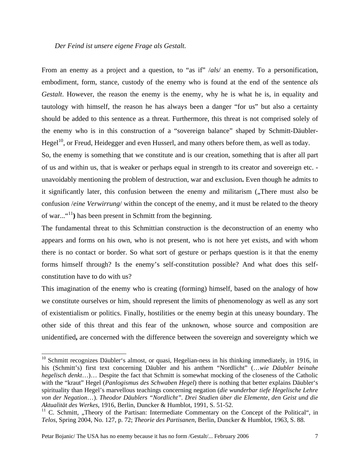### *Der Feind ist unsere eigene Frage als Gestalt.*

From an enemy as a project and a question, to "as if" /*als*/ an enemy. To a personification, embodiment, form, stance, custody of the enemy who is found at the end of the sentence *als Gestalt*. However, the reason the enemy is the enemy, why he is what he is, in equality and tautology with himself, the reason he has always been a danger "for us" but also a certainty should be added to this sentence as a threat. Furthermore, this threat is not comprised solely of the enemy who is in this construction of a "sovereign balance" shaped by Schmitt-Däubler-Hegel<sup>10</sup>, or Freud, Heidegger and even Husserl, and many others before them, as well as today.

So, the enemy is something that we constitute and is our creation, something that is after all part of us and within us, that is weaker or perhaps equal in strength to its creator and sovereign etc. unavoidably mentioning the problem of destruction, war and exclusion**.** Even though he admits to it significantly later, this confusion between the enemy and militarism ("There must also be confusion /*eine Verwirrung*/ within the concept of the enemy, and it must be related to the theory of war... $\cdot$ <sup>([11](#page-6-1)</sup>)</sub> has been present in Schmitt from the beginning.

The fundamental threat to this Schmittian construction is the deconstruction of an enemy who appears and forms on his own, who is not present, who is not here yet exists, and with whom there is no contact or border. So what sort of gesture or perhaps question is it that the enemy forms himself through? Is the enemy's self-constitution possible? And what does this selfconstitution have to do with us?

This imagination of the enemy who is creating (forming) himself, based on the analogy of how we constitute ourselves or him, should represent the limits of phenomenology as well as any sort of existentialism or politics. Finally, hostilities or the enemy begin at this uneasy boundary. The other side of this threat and this fear of the unknown, whose source and composition are unidentified**,** are concerned with the difference between the sovereign and sovereignty which we

Petar Bojanic/ The USA has no enemy because it has no form /Gestalt/... February 2006 7

<span id="page-6-0"></span> $10$  Schmitt recognizes Däubler's almost, or quasi, Hegelian-ness in his thinking immediately, in 1916, in his (Schmitt's) first text concerning Däubler and his anthem "Nordlicht" (…*wie Däubler beinahe hegelisch denkt*…)… Despite the fact that Schmitt is somewhat mocking of the closeness of the Catholic with the "kraut" Hegel (*Panlogismus des Schwaben Hegel*) there is nothing that better explains Däubler's spirituality than Hegel's marvellous teachings concerning negation (*die wunderbar tiefe Hegelische Lehre von der Negation*…). *Theodor Däublers "Nordlicht". Drei Studien über die Elemente, den Geist und die Aktualität des Werkes*, 1916, Berlin, Duncker & Humblot, 1991, S. 51-52.<br><sup>11</sup> C. Schmitt, "Theory of the Partisan: Intermediate Commentary on the Concept of the Political", in

<span id="page-6-1"></span>*Telos*, Spring 2004, No. 127, p. 72; *Theorie des Partisanen*, Berlin, Duncker & Humblot, 1963, S. 88.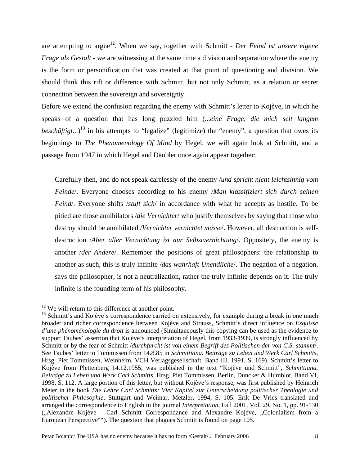are attempting to argue<sup>12</sup>. When we say, together with Schmitt - *Der Feind ist unsere eigene Frage als Gestalt* - we are witnessing at the same time a division and separation where the enemy is the form or personification that was created at that point of questioning and division. We should think this rift or difference with Schmitt, but not only Schmitt, as a relation or secret connection between the sovereign and sovereignty.

Before we extend the confusion regarding the enemy with Schmitt's letter to Kojève, in which he speaks of a question that has long puzzled him (...*eine Frage, die mich seit langem beschäftigt...*)<sup>13</sup> in his attempts to "legalize" (legitimize) the "enemy", a question that owes its beginnings to *The Phenomenology Of Mind* by Hegel, we will again look at Schmitt, and a passage from 1947 in which Hegel and Däubler once again appear together:

Carefully then, and do not speak carelessly of the enemy /*und spricht nicht leichtsinnig vom Feinde*/. Everyone chooses according to his enemy /*Man klassifiziert sich durch seinen Feind*/. Everyone shifts /*stuft sich*/ in accordance with what he accepts as hostile. To be pitied are those annihilators /*die Vernichter*/ who justify themselves by saying that those who destroy should be annihilated /*Vernichter vernichtet müsse*/. However, all destruction is selfdestruction /*Aber aller Vernichtung ist nur Selbstvernichtung*/. Oppositely, the enemy is another /*der Andere*/. Remember the positions of great philosophers: the relationship to another as such, this is truly infinite /*das wahrhaft Unendliche*/. The negation of a negation, says the philosopher, is not a neutralization, rather the truly infinite depends on it. The truly infinite is the founding term of his philosophy.

<span id="page-7-0"></span><sup>&</sup>lt;sup>12</sup> We will return to this difference at another point.

<span id="page-7-1"></span> $13$  Schmitt's and Kojève's correspondence carried on extensively, for example during a break in one much broader and richer correspondence between Kojève and Strauss, Schmitt's direct influence on *Esquisse d'une phénoménologie du droit* is announced (Simultaneously this copying can be used as the evidence to support Taubes' assertion that Kojève's interpretation of Hegel, from 1933-1939, is strongly influenced by Schmitt or by the fear of Schmitt /*durchfurcht ist von einem Begriff des Politischen der von C.S. stammt*/. See Taubes' letter to Tommissen from 14.8.85 in *Schmittiana. Beiträge zu Leben und Werk Carl Schmitts*, Hrsg. Piet Tommissen, Weinheim, VCH Verlagsgesellschaft, Band III, 1991, S. 169). Schmitt's letter to Kojève from Plettenberg 14.12.1955, was published in the text "Kojève und Schmitt", *Schmittiana. Beiträge zu Leben und Werk Carl Schmitts*, Hrsg. Piet Tommissen, Berlin, Duncker & Humblot, Band VI, 1998, S. 112. A large portion of this letter, but without Kojève's response, was first published by Heinrich Meier in the book *Die Lehre Carl Schmitts: Vier Kapitel zur Unterscheidung politischer Theologie und politischer Philosophie*, Stuttgart und Weimar, Metzler, 1994, S. 105. Erik De Vries translated and arranged the correspondence to English in the journal *Interpretation*, Fall 2001, Vol. 29, No. 1, pp. 91-130 ("Alexandre Kojève - Carl Schmitt Correspondance and Alexandre Kojève, "Colonialism from a European Perspective""). The question that plagues Schmitt is found on page 105.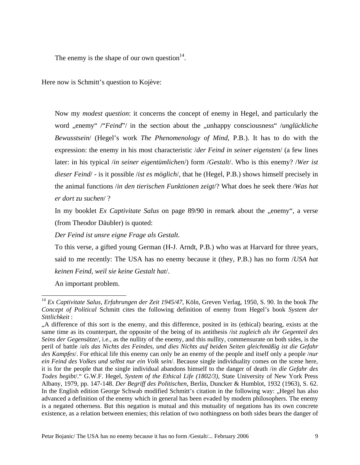<span id="page-8-0"></span>The enemy is the shape of our own question $14$ .

Here now is Schmitt's question to Kojève:

Now my *modest question*: it concerns the concept of enemy in Hegel, and particularly the word "enemy" /"*Feind*"/ in the section about the "unhappy consciousness" /*unglückliche Bewusstsein*/ (Hegel's work *The Phenomenology of Mind*, P.B.). It has to do with the expression: the enemy in his most characteristic /*der Feind in seiner eigensten*/ (a few lines later: in his typical /*in seiner eigentümlichen*/) form /*Gestalt*/. Who is this enemy? /*Wer ist dieser Feind*/ - is it possible /*ist es möglich*/, that he (Hegel, P.B.) shows himself precisely in the animal functions /*in den tierischen Funktionen zeigt*/? What does he seek there /*Was hat er dort zu suchen*/ ?

In my booklet *Ex Captivitate Salus* on page 89/90 in remark about the "enemy", a verse (from Theodor Däubler) is quoted:

*Der Feind ist unsre eigne Frage als Gestalt*.

To this verse, a gifted young German (H-J. Arndt, P.B.) who was at Harvard for three years, said to me recently: The USA has no enemy because it (they, P.B.) has no form /*USA hat keinen Feind, weil sie keine Gestalt hat*/.

An important problem.

 <sup>14</sup> *Ex Captivitate Salus, Erfahrungen der Zeit 1945/47*, Köln, Greven Verlag, 1950, S. 90. In the book *The Concept of Political* Schmitt cites the following definition of enemy from Hegel's book *System der Sittlichkeit* :

<sup>&</sup>quot;A difference of this sort is the enemy, and this difference, posited in its (ethical) bearing, exists at the same time as its counterpart, the opposite of the being of its antithesis /*ist zugleich als ihr Gegenteil des Seins der Gegensätze*/, i.e., as the nullity of the enemy, and this nullity, commensurate on both sides, is the peril of battle /*als das Nichts des Feindes, und dies Nichts auf beiden Seiten gleichmäßig ist die Gefahr des Kampfes*/. For ethical life this enemy can only be an enemy of the people and itself only a people /*nur ein Feind des Volkes und selbst nur ein Volk sein*/. Because single individuality comes on the scene here, it is for the people that the single individual abandons himself to the danger of death /*in die Gefahr des Todes begibt*/." G.W.F. Hegel, *System of the Ethical Life (1802/3)*, State University of New York Press Albany, 1979, pp. 147-148. *Der Begriff des Politischen*, Berlin, Duncker & Humblot, 1932 (1963), S. 62. In the English edition George Schwab modified Schmitt's citation in the following way: "Hegel has also advanced a definition of the enemy which in general has been evaded by modern philosophers. The enemy is a negated otherness. But this negation is mutual and this mutuality of negations has its own concrete existence, as a relation between enemies; this relation of two nothingness on both sides bears the danger of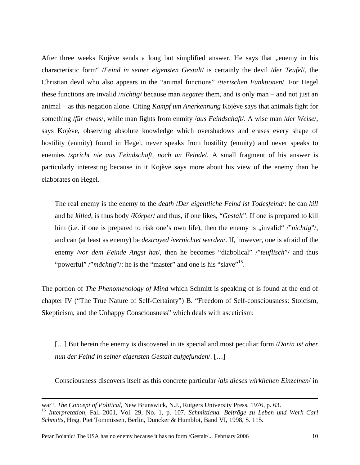After three weeks Kojève sends a long but simplified answer. He says that "enemy in his characteristic form" /*Feind in seiner eigensten Gestalt*/ is certainly the devil /*der Teufel*/, the Christian devil who also appears in the "animal functions" /*tierischen Funktionen*/. For Hegel these functions are invalid /*nichtig/* because man *negates* them, and is only man – and not just an animal – as this negation alone. Citing *Kampf um Anerkennung* Kojève says that animals fight for something /*für etwas*/, while man fights from enmity /*aus Feindschaft*/. A wise man /*der Weise*/, says Kojève, observing absolute knowledge which overshadows and erases every shape of hostility (enmity) found in Hegel, never speaks from hostility (enmity) and never speaks to enemies /*spricht nie aus Feindschaft, noch an Feinde*/. A small fragment of his answer is particularly interesting because in it Kojève says more about his view of the enemy than he elaborates on Hegel.

The real enemy is the enemy to the *death* /*Der eigentliche Feind ist Todesfeind*/: he can *kill* and be *killed*, is thus body /*Körper*/ and thus, if one likes, "*Gestalt*". If one is prepared to kill him (i.e. if one is prepared to risk one's own life), then the enemy is ,,invalid "*inichtig*"/, and can (at least as enemy) be *destroyed* /*vernichtet werden*/. If, however, one is afraid of the enemy /*vor dem Feinde Angst hat*/, then he becomes "diabolical" /"*teuflisch*"/ and thus "powerful" /"*mächtig*"/: he is the "master" and one is his "slave"<sup>15</sup>.

The portion of *The Phenomenology of Mind* which Schmitt is speaking of is found at the end of chapter IV ("The True Nature of Self-Certainty") B. "Freedom of Self-consciousness: Stoicism, Skepticism, and the Unhappy Consciousness" which deals with asceticism:

[…] But herein the enemy is discovered in its special and most peculiar form /*Darin ist aber nun der Feind in seiner eigensten Gestalt aufgefunden*/. […]

Consciousness discovers itself as this concrete particular /*als dieses wirklichen Einzelnen*/ in

1

<span id="page-9-0"></span>war". *The Concept of Political*, New Brunswick, N.J., Rutgers University Press, 1976, p. 63. <sup>15</sup> *Interpretation*, Fall 2001, Vol. 29, No. 1, p. 107. *Schmittiana. Beiträge zu Leben und Werk Carl Schmitts*, Hrsg. Piet Tommissen, Berlin, Duncker & Humblot, Band VI, 1998, S. 115.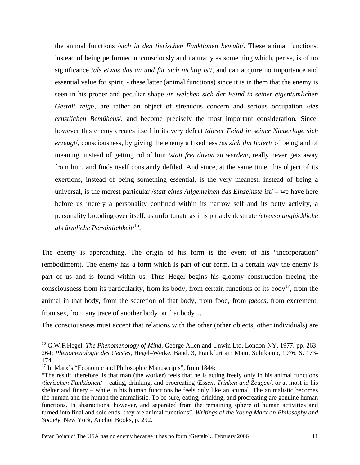the animal functions /*sich in den tierischen Funktionen bewußt*/. These animal functions, instead of being performed unconsciously and naturally as something which, per se, is of no significance /*als etwas das an und für sich nichtig ist*/, and can acquire no importance and essential value for spirit, - these latter (animal functions) since it is in them that the enemy is seen in his proper and peculiar shape /*in welchen sich der Feind in seiner eigentümlichen Gestalt zeigt*/, are rather an object of strenuous concern and serious occupation /*des ernstlichen Bemühens*/, and become precisely the most important consideration. Since, however this enemy creates itself in its very defeat /*dieser Feind in seiner Niederlage sich erzeugt*/, consciousness, by giving the enemy a fixedness /*es sich ihn fixiert*/ of being and of meaning, instead of getting rid of him /*statt frei davon zu werden*/, really never gets away from him, and finds itself constantly defiled. And since, at the same time, this object of its exertions, instead of being something essential, is the very meanest, instead of being a universal, is the merest particular /*statt eines Allgemeinen das Einzelnste ist*/ – we have here before us merely a personality confined within its narrow self and its petty activity, a personality brooding over itself, as unfortunate as it is pitiably destitute /*ebenso unglückliche als ärmliche Persönlichkeit*/ [16.](#page-10-0) 

The enemy is approaching. The origin of his form is the event of his "incorporation" (embodiment). The enemy has a form which is part of our form. In a certain way the enemy is part of us and is found within us. Thus Hegel begins his gloomy construction freeing the consciousness from its particularity, from its body, from certain functions of its body<sup>17</sup>, from the animal in that body, from the secretion of that body, from food, from *faeces,* from excrement, from sex, from any trace of another body on that body…

The consciousness must accept that relations with the other (other objects, other individuals) are

<span id="page-10-0"></span><sup>&</sup>lt;sup>16</sup> G.W.F.Hegel, *The Phenomenology of Mind*, George Allen and Unwin Ltd, London-NY, 1977, pp. 263-264; *Phenomenologie des Geistes*, Hegel–Werke, Band. 3, Frankfurt am Main, Suhrkamp, 1976, S. 173- 174.

<span id="page-10-1"></span><sup>&</sup>lt;sup>17</sup> In Marx's "Economic and Philosophic Manuscripts", from 1844:

<sup>&</sup>quot;The result, therefore, is that man (the worker) feels that he is acting freely only in his animal functions /*tierischen Funktionen*/ – eating, drinking, and procreating /*Essen, Trinken und Zeugen*/, or at most in his shelter and finery – while in his human functions he feels only like an animal. The animalistic becomes the human and the human the animalistic. To be sure, eating, drinking, and procreating are genuine human functions. In abstractions, however, and separated from the remaining sphere of human activities and turned into final and sole ends, they are animal functions". *Writings of the Young Marx on Philosophy and Society*, New York, Anchor Books, p. 292.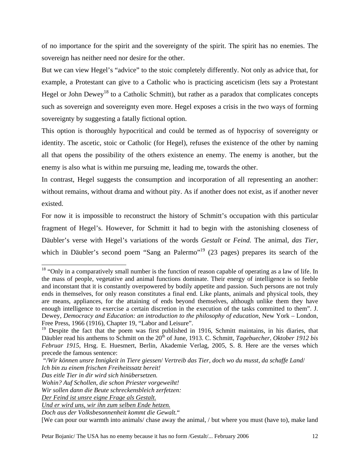<span id="page-11-1"></span>of no importance for the spirit and the sovereignty of the spirit. The spirit has no enemies. The sovereign has neither need nor desire for the other.

But we can view Hegel's "advice" to the stoic completely differently. Not only as advice that, for example, a Protestant can give to a Catholic who is practicing asceticism (lets say a Protestant Hegel or John Dewey<sup>18</sup> to a Catholic Schmitt), but rather as a paradox that complicates concepts such as sovereign and sovereignty even more. Hegel exposes a crisis in the two ways of forming sovereignty by suggesting a fatally fictional option.

This option is thoroughly hypocritical and could be termed as of hypocrisy of sovereignty or identity. The ascetic, stoic or Catholic (for Hegel), refuses the existence of the other by naming all that opens the possibility of the others existence an enemy. The enemy is another, but the enemy is also what is within me pursuing me, leading me, towards the other.

In contrast, Hegel suggests the consumption and incorporation of all representing an another: without remains, without drama and without pity. As if another does not exist, as if another never existed.

For now it is impossible to reconstruct the history of Schmitt's occupation with this particular fragment of Hegel's. However, for Schmitt it had to begin with the astonishing closeness of Däubler's verse with Hegel's variations of the words *Gestalt* or *Feind.* The animal, *das Tier*, which in Däubler's second poem "Sang an Palermo"<sup>19</sup> (23 pages) prepares its search of the

<span id="page-11-0"></span><sup>&</sup>lt;sup>18</sup> "Only in a comparatively small number is the function of reason capable of operating as a law of life. In the mass of people, vegetative and animal functions dominate. Their energy of intelligence is so feeble and inconstant that it is constantly overpowered by bodily appetite and passion. Such persons are not truly ends in themselves, for only reason constitutes a final end. Like plants, animals and physical tools, they are means, appliances, for the attaining of ends beyond themselves, although unlike them they have enough intelligence to exercise a certain discretion in the execution of the tasks committed to them". J. Dewey, *Democracy and Education: an introduction to the philosophy of education*, New York – London, Free Press, 1966 (1916), Chapter 19, "Labor and Leisure".

<sup>&</sup>lt;sup>19</sup> Despite the fact that the poem was first published in 1916, Schmitt maintains, in his diaries, that Däubler read his anthems to Schmitt on the 20<sup>th</sup> of June, 1913. C. Schmitt, *Tagebuecher, Oktober 1912 bis Februar 1915*, Hrsg. E. Huesmert, Berlin, Akademie Verlag, 2005, S. 8. Here are the verses which precede the famous sentence:

 <sup>&</sup>quot;/*Wir können unsre Innigkeit in Tiere giessen*/ *Vertreib das Tier, doch wo du musst, da schaffe Land*/ *Ich bin zu einem frischen Freiheitssatz bereit!*

*Das eitle Tier in dir wird sich hinübersetzen.* 

*Wohin? Auf Schollen, die schon Priester vorgeweiht!* 

*Wir sollen dann die Beute schreckensbleich zerfetzen:* 

*Der Feind ist unsre eigne Frage als Gestalt.*

*Und er wird uns, wir ihn zum selben Ende hetzen.*

*Doch aus der Volksbesonnenheit kommt die Gewalt.*"

<sup>[</sup>We can pour our warmth into animals/ chase away the animal, / but where you must (have to), make land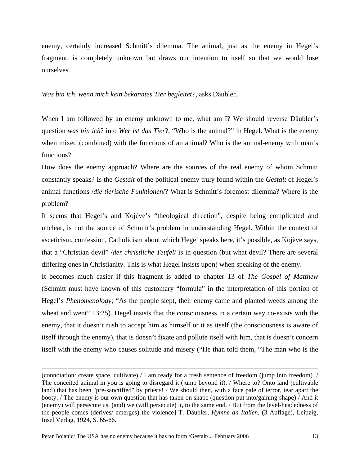enemy, certainly increased Schmitt's dilemma. The animal, just as the enemy in Hegel's fragment, is completely unknown but draws our intention to itself so that we would lose ourselves.

## *Was bin ich, wenn mich kein bekanntes Tier begleitet?*, asks Däubler.

When I am followed by an enemy unknown to me, what am I? We should reverse Däubler's question *was bin ich*? into *Wer ist das Tier*?, "Who is the animal?" in Hegel. What is the enemy when mixed (combined) with the functions of an animal? Who is the animal-enemy with man's functions?

How does the enemy approach? Where are the sources of the real enemy of whom Schmitt constantly speaks? Is the *Gestalt* of the political enemy truly found within the *Gestalt* of Hegel's animal functions /*die tierische Funktionen*/? What is Schmitt's foremost dilemma? Where is the problem?

It seems that Hegel's and Kojève's "theological direction", despite being complicated and unclear, is not the source of Schmitt's problem in understanding Hegel. Within the context of asceticism, confession, Catholicism about which Hegel speaks here, it's possible, as Kojève says, that a "Christian devil" /*der christliche Teufel*/ is in question (but what devil? There are several differing ones in Christianity. This is what Hegel insists upon) when speaking of the enemy.

It becomes much easier if this fragment is added to chapter 13 of *The Gospel of Matthew* (Schmitt must have known of this customary "formula" in the interpretation of this portion of Hegel's *Phenomenology*; "As the people slept, their enemy came and planted weeds among the wheat and went" 13:25). Hegel insists that the consciousness in a certain way co-exists with the enemy, that it doesn't rush to accept him as himself or it as itself (the consciousness is aware of itself through the enemy), that is doesn't fixate and pollute itself with him, that is doesn't concern itself with the enemy who causes solitude and misery ("He than told them, "The man who is the

-

<sup>(</sup>connotation: create space, cultivate) / I am ready for a fresh sentence of freedom (jump into freedom). / The conceited animal in you is going to disregard it (jump beyond it). / Where to? Onto land (cultivable land) that has been "pre-sanctified" by priests! / We should then, with a face pale of terror, tear apart the booty: / The enemy is our own question that has taken on shape (question put into/gaining shape) / And it (enemy) will persecute us, (and) we (will persecute) it, to the same end. / But from the level-headedness of the people comes (derives/ emerges) the violence] T. Däubler, *Hymne an Italien*, (3 Auflage), Leipzig, Insel Verlag, 1924, S. 65-66.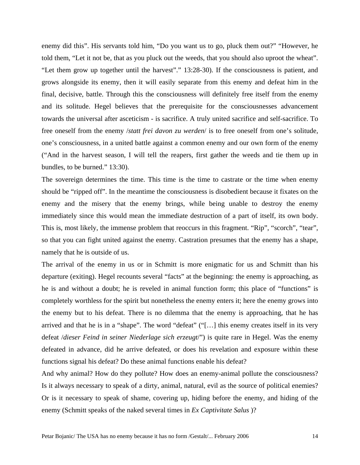enemy did this". His servants told him, "Do you want us to go, pluck them out?" "However, he told them, "Let it not be, that as you pluck out the weeds, that you should also uproot the wheat". "Let them grow up together until the harvest"." 13:28-30). If the consciousness is patient, and grows alongside its enemy, then it will easily separate from this enemy and defeat him in the final, decisive, battle. Through this the consciousness will definitely free itself from the enemy and its solitude. Hegel believes that the prerequisite for the consciousnesses advancement towards the universal after asceticism - is sacrifice. A truly united sacrifice and self-sacrifice. To free oneself from the enemy /*statt frei davon zu werden*/ is to free oneself from one's solitude, one's consciousness, in a united battle against a common enemy and our own form of the enemy ("And in the harvest season, I will tell the reapers, first gather the weeds and tie them up in bundles, to be burned." 13:30).

The sovereign determines the time. This time is the time to castrate or the time when enemy should be "ripped off". In the meantime the consciousness is disobedient because it fixates on the enemy and the misery that the enemy brings, while being unable to destroy the enemy immediately since this would mean the immediate destruction of a part of itself, its own body. This is, most likely, the immense problem that reoccurs in this fragment. "Rip", "scorch", "tear", so that you can fight united against the enemy. Castration presumes that the enemy has a shape, namely that he is outside of us.

The arrival of the enemy in us or in Schmitt is more enigmatic for us and Schmitt than his departure (exiting). Hegel recounts several "facts" at the beginning: the enemy is approaching, as he is and without a doubt; he is reveled in animal function form; this place of "functions" is completely worthless for the spirit but nonetheless the enemy enters it; here the enemy grows into the enemy but to his defeat. There is no dilemma that the enemy is approaching, that he has arrived and that he is in a "shape". The word "defeat" ("[…] this enemy creates itself in its very defeat /*dieser Feind in seiner Niederlage sich erzeugt*/") is quite rare in Hegel. Was the enemy defeated in advance, did he arrive defeated, or does his revelation and exposure within these functions signal his defeat? Do these animal functions enable his defeat?

And why animal? How do they pollute? How does an enemy-animal pollute the consciousness? Is it always necessary to speak of a dirty, animal, natural, evil as the source of political enemies? Or is it necessary to speak of shame, covering up, hiding before the enemy, and hiding of the enemy (Schmitt speaks of the naked several times in *Ex Captivitate Salus* )?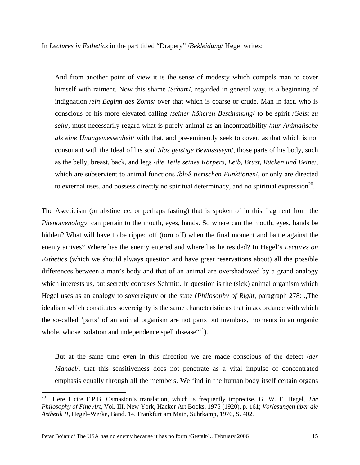In *Lectures in Esthetics* in the part titled "Drapery" /*Bekleidung*/ Hegel writes:

And from another point of view it is the sense of modesty which compels man to cover himself with raiment. Now this shame /*Scham*/, regarded in general way, is a beginning of indignation /*ein Beginn des Zorns*/ over that which is coarse or crude. Man in fact, who is conscious of his more elevated calling /*seiner höheren Bestimmung*/ to be spirit /*Geist zu sein*/, must necessarily regard what is purely animal as an incompatibility /*nur Animalische als eine Unangemessenheit*/ with that, and pre-eminently seek to cover, as that which is not consonant with the Ideal of his soul /*das geistige Bewusstseyn*/, those parts of his body, such as the belly, breast, back, and legs /*die Teile seines Körpers, Leib, Brust, Rücken und Beine*/, which are subservient to animal functions /*bloß tierischen Funktionen*/, or only are directed to external uses, and possess directly no spiritual determinacy, and no spiritual expression<sup>20</sup>.

The Asceticism (or abstinence, or perhaps fasting) that is spoken of in this fragment from the *Phenomenology,* can pertain to the mouth, eyes, hands. So where can the mouth, eyes, hands be hidden? What will have to be ripped off (torn off) when the final moment and battle against the enemy arrives? Where has the enemy entered and where has he resided? In Hegel's *Lectures on Esthetics* (which we should always question and have great reservations about) all the possible differences between a man's body and that of an animal are overshadowed by a grand analogy which interests us, but secretly confuses Schmitt. In question is the (sick) animal organism which Hegel uses as an analogy to sovereignty or the state *(Philosophy of Right*, paragraph 278: "The idealism which constitutes sovereignty is the same characteristic as that in accordance with which the so-called 'parts' of an animal organism are not parts but members, moments in an organic whole, whose isolation and independence spell disease $(21)$ .

But at the same time even in this direction we are made conscious of the defect /*der Mangel*, that this sensitiveness does not penetrate as a vital impulse of concentrated emphasis equally through all the members. We find in the human body itself certain organs

<span id="page-14-1"></span><span id="page-14-0"></span>Here I cite F.P.B. Osmaston's translation, which is frequently imprecise. G. W. F. Hegel, *The Philosophy of Fine Art*, Vol. III, New York, Hacker Art Books, 1975 (1920), p. 161; *Vorlesungen über die Ästhetik II*, Hegel–Werke, Band. 14, Frankfurt am Main, Suhrkamp, 1976, S. 402.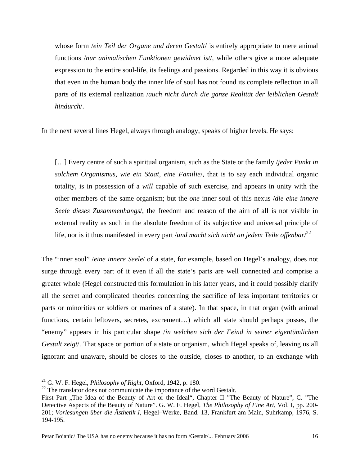whose form /*ein Teil der Organe und deren Gestalt*/ is entirely appropriate to mere animal functions /*nur animalischen Funktionen gewidmet ist*/, while others give a more adequate expression to the entire soul-life, its feelings and passions. Regarded in this way it is obvious that even in the human body the inner life of soul has not found its complete reflection in all parts of its external realization /*auch nicht durch die ganze Realität der leiblichen Gestalt hindurch*/.

In the next several lines Hegel, always through analogy, speaks of higher levels. He says:

[…] Every centre of such a spiritual organism, such as the State or the family /*jeder Punkt in solchem Organismus, wie ein Staat, eine Familie*/, that is to say each individual organic totality, is in possession of a *will* capable of such exercise, and appears in unity with the other members of the same organism; but the *one* inner soul of this nexus /*die eine innere Seele dieses Zusammenhangs*/, the freedom and reason of the aim of all is not visible in external reality as such in the absolute freedom of its subjective and universal principle of life, nor is it thus manifested in every part /*und macht sich nicht an jedem Teile offenbar*/<sup>[22](#page-15-0)</sup>

The "inner soul" /*eine innere Seele*/ of a state, for example, based on Hegel's analogy, does not surge through every part of it even if all the state's parts are well connected and comprise a greater whole (Hegel constructed this formulation in his latter years, and it could possibly clarify all the secret and complicated theories concerning the sacrifice of less important territories or parts or minorities or soldiers or marines of a state). In that space, in that organ (with animal functions, certain leftovers, secretes, excrement…) which all state should perhaps posses, the "enemy" appears in his particular shape /*in welchen sich der Feind in seiner eigentümlichen Gestalt zeigt*/. That space or portion of a state or organism, which Hegel speaks of, leaving us all ignorant and unaware, should be closes to the outside, closes to another, to an exchange with

 <sup>21</sup> G. W. F. Hegel, *Philosophy of Right*, Oxford, 1942, p. 180.

<span id="page-15-0"></span> $22$  The translator does not communicate the importance of the word Gestalt.

First Part "The Idea of the Beauty of Art or the Ideal", Chapter II "The Beauty of Nature", C. "The Detective Aspects of the Beauty of Nature". G. W. F. Hegel, *The Philosophy of Fine Art*, Vol. I, pp. 200- 201; *Vorlesungen über die Ästhetik I*, Hegel–Werke, Band. 13, Frankfurt am Main, Suhrkamp, 1976, S. 194-195.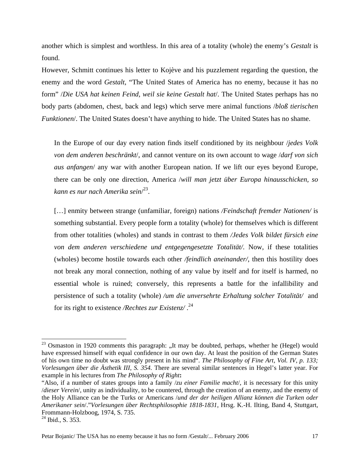another which is simplest and worthless. In this area of a totality (whole) the enemy's *Gestalt* is found.

However, Schmitt continues his letter to Kojève and his puzzlement regarding the question, the enemy and the word *Gestalt*, "The United States of America has no enemy, because it has no form" /*Die USA hat keinen Feind, weil sie keine Gestalt hat*/. The United States perhaps has no body parts (abdomen, chest, back and legs) which serve mere animal functions /*bloß tierischen Funktionen*/. The United States doesn't have anything to hide. The United States has no shame.

In the Europe of our day every nation finds itself conditioned by its neighbour /*jedes Volk von dem anderen beschränkt*/, and cannot venture on its own account to wage /*darf von sich aus anfangen*/ any war with another European nation. If we lift our eyes beyond Europe, there can be only one direction, America /*will man jetzt über Europa hinausschicken, so kann es nur nach Amerika sein*/ [23.](#page-16-0)

[…] enmity between strange (unfamiliar, foreign) nations */Feindschaft fremder Nationen/* is something substantial. Every people form a totality (whole) for themselves which is different from other totalities (wholes) and stands in contrast to them */Jedes Volk bildet fürsich eine von dem anderen verschiedene und entgegengesetzte Totalität/*. Now, if these totalities (wholes) become hostile towards each other */feindlich aneinander/*, then this hostility does not break any moral connection, nothing of any value by itself and for itself is harmed, no essential whole is ruined; conversely, this represents a battle for the infallibility and persistence of such a totality (whole) */um die unversehrte Erhaltung solcher Totalität/* and for its right to existence */Rechtes zur Existenz/* . [24](#page-16-1)

<span id="page-16-0"></span> $23$  Osmaston in 1920 comments this paragraph: "It may be doubted, perhaps, whether he (Hegel) would have expressed himself with equal confidence in our own day. At least the position of the German States of his own time no doubt was strongly present in his mind". *The Philosophy of Fine Art, Vol. IV, p. 133; Vorlesungen über die Ästhetik III, S. 354.* There are several similar sentences in Hegel's latter year. For example in his lectures from *The Philosophy of Right***:** 

<sup>&</sup>quot;Also, if a number of states groups into a family /*zu einer Familie macht*/, it is necessary for this unity /*dieser Verein*/, unity as individuality, to be countered, through the creation of an enemy, and the enemy of the Holy Alliance can be the Turks or Americans /*und der der heiligen Allianz können die Turken oder Amerikaner sein*/."*Vorlesungen über Rechtsphilosophie 1818-1831*, Hrsg. K.-H. Ilting, Band 4, Stuttgart, Frommann-Holzboog, 1974, S. 735.

<span id="page-16-1"></span> $^{24}$  Ibid., S. 353.